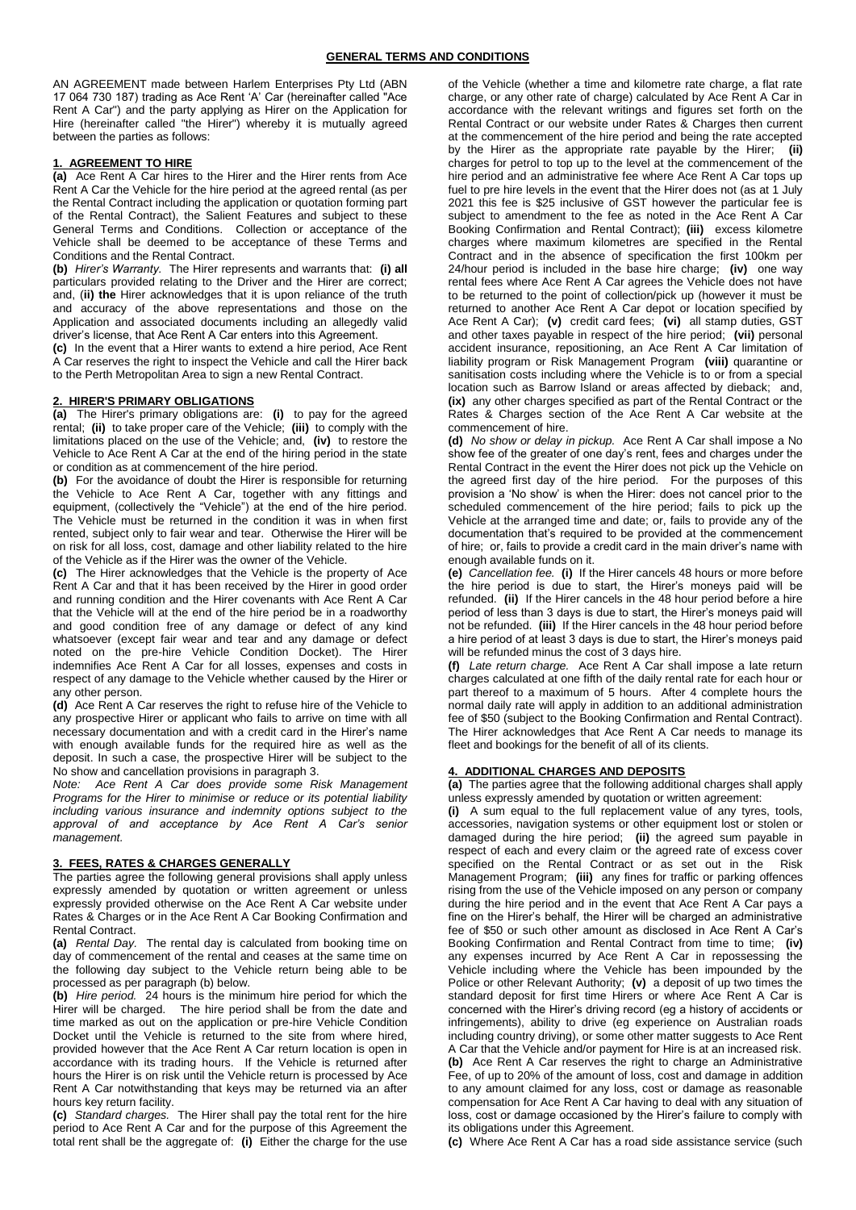AN AGREEMENT made between Harlem Enterprises Pty Ltd (ABN 17 064 730 187) trading as Ace Rent 'A' Car (hereinafter called "Ace Rent A Car") and the party applying as Hirer on the Application for Hire (hereinafter called "the Hirer") whereby it is mutually agreed between the parties as follows:

## **1. AGREEMENT TO HIRE**

**(a)** Ace Rent A Car hires to the Hirer and the Hirer rents from Ace Rent A Car the Vehicle for the hire period at the agreed rental (as per the Rental Contract including the application or quotation forming part of the Rental Contract), the Salient Features and subject to these General Terms and Conditions. Collection or acceptance of the Vehicle shall be deemed to be acceptance of these Terms and Conditions and the Rental Contract.

**(b)** *Hirer's Warranty.* The Hirer represents and warrants that: **(i) all** particulars provided relating to the Driver and the Hirer are correct; and, (**ii) the** Hirer acknowledges that it is upon reliance of the truth and accuracy of the above representations and those on the Application and associated documents including an allegedly valid driver's license, that Ace Rent A Car enters into this Agreement.

**(c)** In the event that a Hirer wants to extend a hire period, Ace Rent A Car reserves the right to inspect the Vehicle and call the Hirer back to the Perth Metropolitan Area to sign a new Rental Contract.

#### **2. HIRER'S PRIMARY OBLIGATIONS**

**(a)** The Hirer's primary obligations are: **(i)** to pay for the agreed rental; **(ii)** to take proper care of the Vehicle; **(iii)** to comply with the limitations placed on the use of the Vehicle; and, **(iv)** to restore the Vehicle to Ace Rent A Car at the end of the hiring period in the state or condition as at commencement of the hire period.

**(b)** For the avoidance of doubt the Hirer is responsible for returning the Vehicle to Ace Rent A Car, together with any fittings and equipment, (collectively the "Vehicle") at the end of the hire period. The Vehicle must be returned in the condition it was in when first rented, subject only to fair wear and tear. Otherwise the Hirer will be on risk for all loss, cost, damage and other liability related to the hire of the Vehicle as if the Hirer was the owner of the Vehicle.

**(c)** The Hirer acknowledges that the Vehicle is the property of Ace Rent A Car and that it has been received by the Hirer in good order and running condition and the Hirer covenants with Ace Rent A Car that the Vehicle will at the end of the hire period be in a roadworthy and good condition free of any damage or defect of any kind whatsoever (except fair wear and tear and any damage or defect noted on the pre-hire Vehicle Condition Docket). The Hirer indemnifies Ace Rent A Car for all losses, expenses and costs in respect of any damage to the Vehicle whether caused by the Hirer or any other person.

**(d)** Ace Rent A Car reserves the right to refuse hire of the Vehicle to any prospective Hirer or applicant who fails to arrive on time with all necessary documentation and with a credit card in the Hirer's name with enough available funds for the required hire as well as the deposit. In such a case, the prospective Hirer will be subject to the No show and cancellation provisions in paragraph 3.

*Note: Ace Rent A Car does provide some Risk Management Programs for the Hirer to minimise or reduce or its potential liability including various insurance and indemnity options subject to the approval of and acceptance by Ace Rent A Car's senior management.*

# **3. FEES, RATES & CHARGES GENERALLY**

The parties agree the following general provisions shall apply unless expressly amended by quotation or written agreement or unless expressly provided otherwise on the Ace Rent A Car website under Rates & Charges or in the Ace Rent A Car Booking Confirmation and Rental Contract.

**(a)** *Rental Day.* The rental day is calculated from booking time on day of commencement of the rental and ceases at the same time on the following day subject to the Vehicle return being able to be processed as per paragraph (b) below.

**(b)** *Hire period.* 24 hours is the minimum hire period for which the Hirer will be charged. The hire period shall be from the date and time marked as out on the application or pre-hire Vehicle Condition Docket until the Vehicle is returned to the site from where hired, provided however that the Ace Rent A Car return location is open in accordance with its trading hours. If the Vehicle is returned after hours the Hirer is on risk until the Vehicle return is processed by Ace Rent A Car notwithstanding that keys may be returned via an after hours key return facility.

**(c)** *Standard charges.* The Hirer shall pay the total rent for the hire period to Ace Rent A Car and for the purpose of this Agreement the total rent shall be the aggregate of: **(i)** Either the charge for the use

of the Vehicle (whether a time and kilometre rate charge, a flat rate charge, or any other rate of charge) calculated by Ace Rent A Car in accordance with the relevant writings and figures set forth on the Rental Contract or our website under Rates & Charges then current at the commencement of the hire period and being the rate accepted by the Hirer as the appropriate rate payable by the Hirer; **(ii)** charges for petrol to top up to the level at the commencement of the hire period and an administrative fee where Ace Rent A Car tops up fuel to pre hire levels in the event that the Hirer does not (as at 1 July 2021 this fee is \$25 inclusive of GST however the particular fee is subject to amendment to the fee as noted in the Ace Rent A Car Booking Confirmation and Rental Contract); **(iii)** excess kilometre charges where maximum kilometres are specified in the Rental Contract and in the absence of specification the first 100km per 24/hour period is included in the base hire charge; **(iv)** one way rental fees where Ace Rent A Car agrees the Vehicle does not have to be returned to the point of collection/pick up (however it must be returned to another Ace Rent A Car depot or location specified by Ace Rent A Car); **(v)** credit card fees; **(vi)** all stamp duties, GST and other taxes payable in respect of the hire period; **(vii)** personal accident insurance, repositioning, an Ace Rent A Car limitation of liability program or Risk Management Program **(viii)** quarantine or sanitisation costs including where the Vehicle is to or from a special location such as Barrow Island or areas affected by dieback; and, **(ix)** any other charges specified as part of the Rental Contract or the Rates & Charges section of the Ace Rent A Car website at the commencement of hire.

**(d)** *No show or delay in pickup.* Ace Rent A Car shall impose a No show fee of the greater of one day's rent, fees and charges under the Rental Contract in the event the Hirer does not pick up the Vehicle on the agreed first day of the hire period. For the purposes of this provision a 'No show' is when the Hirer: does not cancel prior to the scheduled commencement of the hire period; fails to pick up the Vehicle at the arranged time and date; or, fails to provide any of the documentation that's required to be provided at the commencement of hire; or, fails to provide a credit card in the main driver's name with enough available funds on it.

**(e)** *Cancellation fee.* **(i)** If the Hirer cancels 48 hours or more before the hire period is due to start, the Hirer's moneys paid will be refunded. **(ii)** If the Hirer cancels in the 48 hour period before a hire period of less than 3 days is due to start, the Hirer's moneys paid will not be refunded. **(iii)** If the Hirer cancels in the 48 hour period before a hire period of at least 3 days is due to start, the Hirer's moneys paid will be refunded minus the cost of 3 days hire.

**(f)** *Late return charge.* Ace Rent A Car shall impose a late return charges calculated at one fifth of the daily rental rate for each hour or part thereof to a maximum of 5 hours. After 4 complete hours the normal daily rate will apply in addition to an additional administration fee of \$50 (subject to the Booking Confirmation and Rental Contract). The Hirer acknowledges that Ace Rent A Car needs to manage its fleet and bookings for the benefit of all of its clients.

#### **4. ADDITIONAL CHARGES AND DEPOSITS**

**(a)** The parties agree that the following additional charges shall apply unless expressly amended by quotation or written agreement:

**(i)** A sum equal to the full replacement value of any tyres, tools, accessories, navigation systems or other equipment lost or stolen or damaged during the hire period; **(ii)** the agreed sum payable in respect of each and every claim or the agreed rate of excess cover specified on the Rental Contract or as set out in the Risk Management Program; **(iii)** any fines for traffic or parking offences rising from the use of the Vehicle imposed on any person or company during the hire period and in the event that Ace Rent A Car pays a fine on the Hirer's behalf, the Hirer will be charged an administrative fee of \$50 or such other amount as disclosed in Ace Rent A Car's Booking Confirmation and Rental Contract from time to time; **(iv)** any expenses incurred by Ace Rent A Car in repossessing the Vehicle including where the Vehicle has been impounded by the Police or other Relevant Authority; **(v)** a deposit of up two times the standard deposit for first time Hirers or where Ace Rent A Car is concerned with the Hirer's driving record (eg a history of accidents or infringements), ability to drive (eg experience on Australian roads including country driving), or some other matter suggests to Ace Rent A Car that the Vehicle and/or payment for Hire is at an increased risk. **(b)** Ace Rent A Car reserves the right to charge an Administrative Fee, of up to 20% of the amount of loss, cost and damage in addition to any amount claimed for any loss, cost or damage as reasonable compensation for Ace Rent A Car having to deal with any situation of

loss, cost or damage occasioned by the Hirer's failure to comply with its obligations under this Agreement.

**(c)** Where Ace Rent A Car has a road side assistance service (such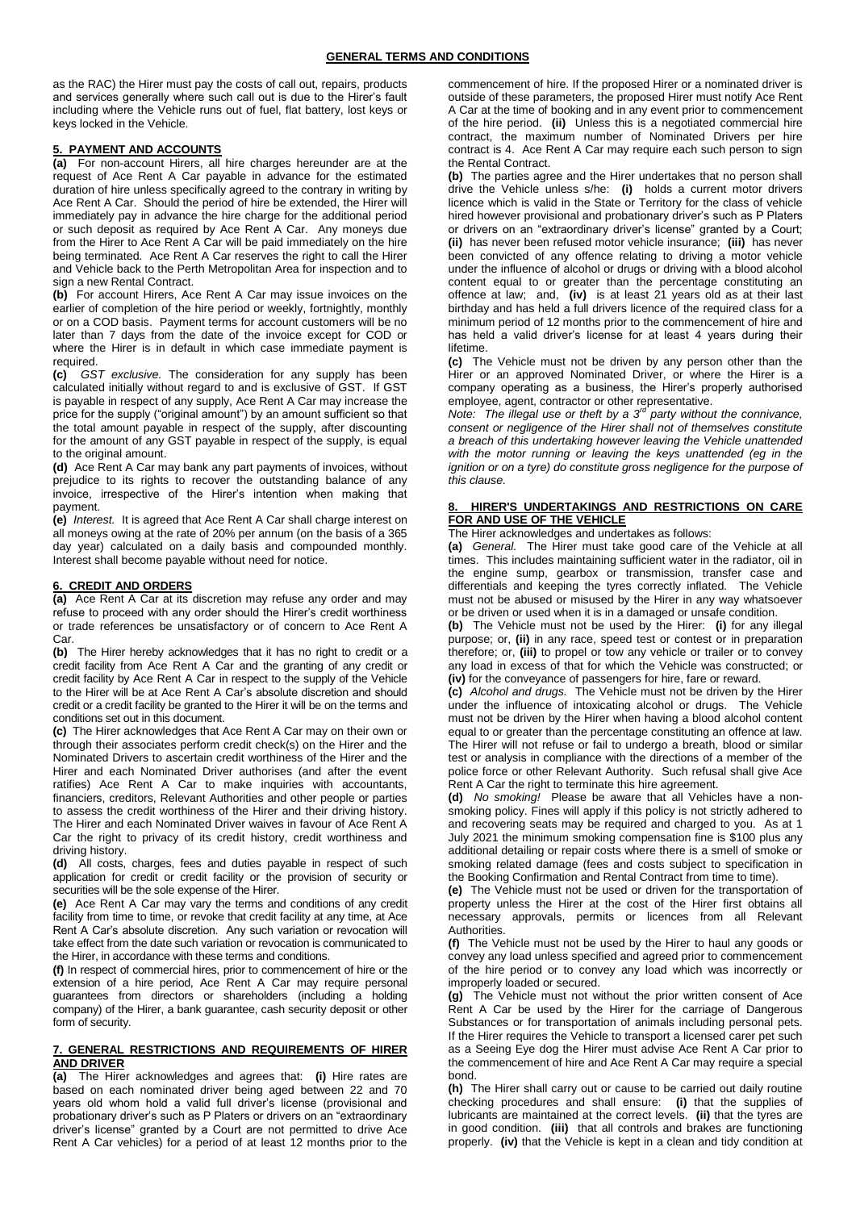as the RAC) the Hirer must pay the costs of call out, repairs, products and services generally where such call out is due to the Hirer's fault including where the Vehicle runs out of fuel, flat battery, lost keys or keys locked in the Vehicle.

# **5. PAYMENT AND ACCOUNTS**

**(a)** For non-account Hirers, all hire charges hereunder are at the request of Ace Rent A Car payable in advance for the estimated duration of hire unless specifically agreed to the contrary in writing by Ace Rent A Car. Should the period of hire be extended, the Hirer will immediately pay in advance the hire charge for the additional period or such deposit as required by Ace Rent A Car. Any moneys due from the Hirer to Ace Rent A Car will be paid immediately on the hire being terminated. Ace Rent A Car reserves the right to call the Hirer and Vehicle back to the Perth Metropolitan Area for inspection and to sign a new Rental Contract.

**(b)** For account Hirers, Ace Rent A Car may issue invoices on the earlier of completion of the hire period or weekly, fortnightly, monthly or on a COD basis. Payment terms for account customers will be no later than 7 days from the date of the invoice except for COD or where the Hirer is in default in which case immediate payment is required.

**(c)** *GST exclusive.* The consideration for any supply has been calculated initially without regard to and is exclusive of GST. If GST is payable in respect of any supply, Ace Rent A Car may increase the price for the supply ("original amount") by an amount sufficient so that the total amount payable in respect of the supply, after discounting for the amount of any GST payable in respect of the supply, is equal to the original amount.

**(d)** Ace Rent A Car may bank any part payments of invoices, without prejudice to its rights to recover the outstanding balance of any invoice, irrespective of the Hirer's intention when making that payment.

**(e)** *Interest.* It is agreed that Ace Rent A Car shall charge interest on all moneys owing at the rate of 20% per annum (on the basis of a 365 day year) calculated on a daily basis and compounded monthly. Interest shall become payable without need for notice.

# **6. CREDIT AND ORDERS**

**(a)** Ace Rent A Car at its discretion may refuse any order and may refuse to proceed with any order should the Hirer's credit worthiness or trade references be unsatisfactory or of concern to Ace Rent A Car.

**(b)** The Hirer hereby acknowledges that it has no right to credit or a credit facility from Ace Rent A Car and the granting of any credit or credit facility by Ace Rent A Car in respect to the supply of the Vehicle to the Hirer will be at Ace Rent A Car's absolute discretion and should credit or a credit facility be granted to the Hirer it will be on the terms and conditions set out in this document.

**(c)** The Hirer acknowledges that Ace Rent A Car may on their own or through their associates perform credit check(s) on the Hirer and the Nominated Drivers to ascertain credit worthiness of the Hirer and the Hirer and each Nominated Driver authorises (and after the event ratifies) Ace Rent A Car to make inquiries with accountants, financiers, creditors, Relevant Authorities and other people or parties to assess the credit worthiness of the Hirer and their driving history. The Hirer and each Nominated Driver waives in favour of Ace Rent A Car the right to privacy of its credit history, credit worthiness and driving history.

**(d)** All costs, charges, fees and duties payable in respect of such application for credit or credit facility or the provision of security or securities will be the sole expense of the Hirer.

**(e)** Ace Rent A Car may vary the terms and conditions of any credit facility from time to time, or revoke that credit facility at any time, at Ace Rent A Car's absolute discretion. Any such variation or revocation will take effect from the date such variation or revocation is communicated to the Hirer, in accordance with these terms and conditions.

**(f)** In respect of commercial hires, prior to commencement of hire or the extension of a hire period, Ace Rent A Car may require personal guarantees from directors or shareholders (including a holding company) of the Hirer, a bank guarantee, cash security deposit or other form of security.

# **7. GENERAL RESTRICTIONS AND REQUIREMENTS OF HIRER AND DRIVER**

**(a)** The Hirer acknowledges and agrees that: **(i)** Hire rates are based on each nominated driver being aged between 22 and 70 years old whom hold a valid full driver's license (provisional and probationary driver's such as P Platers or drivers on an "extraordinary driver's license" granted by a Court are not permitted to drive Ace Rent A Car vehicles) for a period of at least 12 months prior to the commencement of hire. If the proposed Hirer or a nominated driver is outside of these parameters, the proposed Hirer must notify Ace Rent A Car at the time of booking and in any event prior to commencement of the hire period. **(ii)** Unless this is a negotiated commercial hire contract, the maximum number of Nominated Drivers per hire contract is 4. Ace Rent A Car may require each such person to sign the Rental Contract.

**(b)** The parties agree and the Hirer undertakes that no person shall drive the Vehicle unless s/he: **(i)** holds a current motor drivers licence which is valid in the State or Territory for the class of vehicle hired however provisional and probationary driver's such as P Platers or drivers on an "extraordinary driver's license" granted by a Court; **(ii)** has never been refused motor vehicle insurance; **(iii)** has never been convicted of any offence relating to driving a motor vehicle under the influence of alcohol or drugs or driving with a blood alcohol content equal to or greater than the percentage constituting an offence at law; and, **(iv)** is at least 21 years old as at their last birthday and has held a full drivers licence of the required class for a minimum period of 12 months prior to the commencement of hire and has held a valid driver's license for at least 4 years during their lifetime.

**(c)** The Vehicle must not be driven by any person other than the Hirer or an approved Nominated Driver, or where the Hirer is a company operating as a business, the Hirer's properly authorised employee, agent, contractor or other representative.

*Note: The illegal use or theft by a 3rd party without the connivance, consent or negligence of the Hirer shall not of themselves constitute a breach of this undertaking however leaving the Vehicle unattended with the motor running or leaving the keys unattended (eg in the ignition or on a tyre) do constitute gross negligence for the purpose of this clause.* 

# **HIRER'S UNDERTAKINGS AND RESTRICTIONS ON CARE FOR AND USE OF THE VEHICLE**

The Hirer acknowledges and undertakes as follows:

**(a)** *General.* The Hirer must take good care of the Vehicle at all times. This includes maintaining sufficient water in the radiator, oil in the engine sump, gearbox or transmission, transfer case and differentials and keeping the tyres correctly inflated. The Vehicle must not be abused or misused by the Hirer in any way whatsoever or be driven or used when it is in a damaged or unsafe condition.

**(b)** The Vehicle must not be used by the Hirer: **(i)** for any illegal purpose; or, **(ii)** in any race, speed test or contest or in preparation therefore; or, **(iii)** to propel or tow any vehicle or trailer or to convey any load in excess of that for which the Vehicle was constructed; or **(iv)** for the conveyance of passengers for hire, fare or reward.

**(c)** *Alcohol and drugs.* The Vehicle must not be driven by the Hirer under the influence of intoxicating alcohol or drugs. The Vehicle must not be driven by the Hirer when having a blood alcohol content equal to or greater than the percentage constituting an offence at law. The Hirer will not refuse or fail to undergo a breath, blood or similar test or analysis in compliance with the directions of a member of the police force or other Relevant Authority. Such refusal shall give Ace Rent A Car the right to terminate this hire agreement.

**(d)** *No smoking!* Please be aware that all Vehicles have a nonsmoking policy. Fines will apply if this policy is not strictly adhered to and recovering seats may be required and charged to you. As at 1 July 2021 the minimum smoking compensation fine is \$100 plus any additional detailing or repair costs where there is a smell of smoke or smoking related damage (fees and costs subject to specification in the Booking Confirmation and Rental Contract from time to time).

**(e)** The Vehicle must not be used or driven for the transportation of property unless the Hirer at the cost of the Hirer first obtains all necessary approvals, permits or licences from all Relevant Authorities.

**(f)** The Vehicle must not be used by the Hirer to haul any goods or convey any load unless specified and agreed prior to commencement of the hire period or to convey any load which was incorrectly or improperly loaded or secured.

**(g)** The Vehicle must not without the prior written consent of Ace Rent A Car be used by the Hirer for the carriage of Dangerous Substances or for transportation of animals including personal pets. If the Hirer requires the Vehicle to transport a licensed carer pet such as a Seeing Eye dog the Hirer must advise Ace Rent A Car prior to the commencement of hire and Ace Rent A Car may require a special bond.

**(h)** The Hirer shall carry out or cause to be carried out daily routine checking procedures and shall ensure: **(i)** that the supplies of lubricants are maintained at the correct levels. **(ii)** that the tyres are in good condition. **(iii)** that all controls and brakes are functioning properly. **(iv)** that the Vehicle is kept in a clean and tidy condition at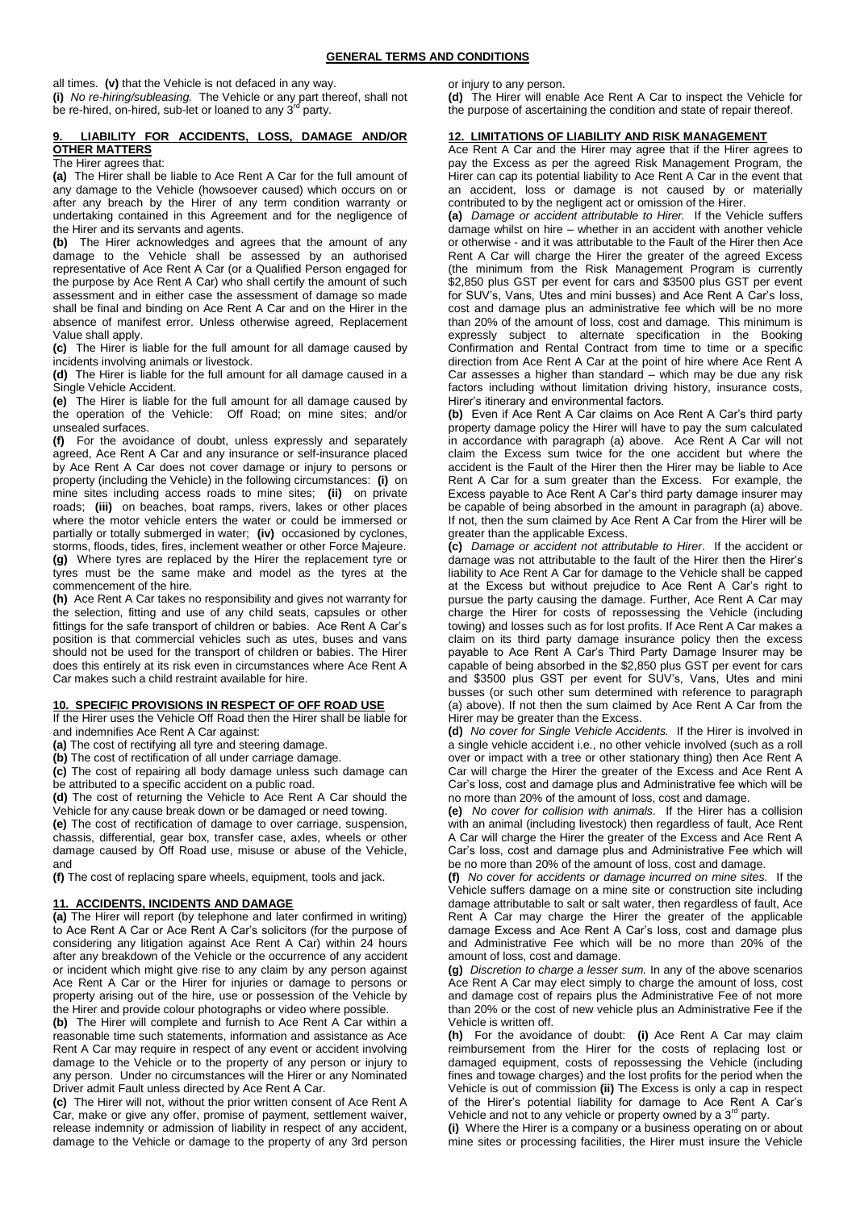all times. **(v)** that the Vehicle is not defaced in any way.

**(i)** *No re-hiring/subleasing.* The Vehicle or any part thereof, shall not be re-hired, on-hired, sub-let or loaned to any 3<sup>rd</sup> party.

# **9. LIABILITY FOR ACCIDENTS, LOSS, DAMAGE AND/OR OTHER MATTERS**

The Hirer agrees that:

**(a)** The Hirer shall be liable to Ace Rent A Car for the full amount of any damage to the Vehicle (howsoever caused) which occurs on or after any breach by the Hirer of any term condition warranty or undertaking contained in this Agreement and for the negligence of the Hirer and its servants and agents.

**(b)** The Hirer acknowledges and agrees that the amount of any damage to the Vehicle shall be assessed by an authorised representative of Ace Rent A Car (or a Qualified Person engaged for the purpose by Ace Rent A Car) who shall certify the amount of such assessment and in either case the assessment of damage so made shall be final and binding on Ace Rent A Car and on the Hirer in the absence of manifest error. Unless otherwise agreed, Replacement Value shall apply.

**(c)** The Hirer is liable for the full amount for all damage caused by incidents involving animals or livestock.

**(d)** The Hirer is liable for the full amount for all damage caused in a Single Vehicle Accident.

**(e)** The Hirer is liable for the full amount for all damage caused by the operation of the Vehicle: Off Road; on mine sites; and/or unsealed surfaces.

**(f)** For the avoidance of doubt, unless expressly and separately agreed, Ace Rent A Car and any insurance or self-insurance placed by Ace Rent A Car does not cover damage or injury to persons or property (including the Vehicle) in the following circumstances: **(i)** on mine sites including access roads to mine sites; **(ii)** on private roads; **(iii)** on beaches, boat ramps, rivers, lakes or other places where the motor vehicle enters the water or could be immersed or partially or totally submerged in water; **(iv)** occasioned by cyclones, storms, floods, tides, fires, inclement weather or other Force Majeure. **(g)** Where tyres are replaced by the Hirer the replacement tyre or tyres must be the same make and model as the tyres at the commencement of the hire.

**(h)** Ace Rent A Car takes no responsibility and gives not warranty for the selection, fitting and use of any child seats, capsules or other fittings for the safe transport of children or babies. Ace Rent A Car's position is that commercial vehicles such as utes, buses and vans should not be used for the transport of children or babies. The Hirer does this entirely at its risk even in circumstances where Ace Rent A Car makes such a child restraint available for hire.

#### **10. SPECIFIC PROVISIONS IN RESPECT OF OFF ROAD USE**

If the Hirer uses the Vehicle Off Road then the Hirer shall be liable for and indemnifies Ace Rent A Car against:

**(a)** The cost of rectifying all tyre and steering damage.

**(b)** The cost of rectification of all under carriage damage.

**(c)** The cost of repairing all body damage unless such damage can be attributed to a specific accident on a public road.

**(d)** The cost of returning the Vehicle to Ace Rent A Car should the Vehicle for any cause break down or be damaged or need towing.

**(e)** The cost of rectification of damage to over carriage, suspension, chassis, differential, gear box, transfer case, axles, wheels or other damage caused by Off Road use, misuse or abuse of the Vehicle, and

**(f)** The cost of replacing spare wheels, equipment, tools and jack.

#### **11. ACCIDENTS, INCIDENTS AND DAMAGE**

**(a)** The Hirer will report (by telephone and later confirmed in writing) to Ace Rent A Car or Ace Rent A Car's solicitors (for the purpose of considering any litigation against Ace Rent A Car) within 24 hours after any breakdown of the Vehicle or the occurrence of any accident or incident which might give rise to any claim by any person against Ace Rent A Car or the Hirer for injuries or damage to persons or property arising out of the hire, use or possession of the Vehicle by the Hirer and provide colour photographs or video where possible.

**(b)** The Hirer will complete and furnish to Ace Rent A Car within a reasonable time such statements, information and assistance as Ace Rent A Car may require in respect of any event or accident involving damage to the Vehicle or to the property of any person or injury to any person. Under no circumstances will the Hirer or any Nominated Driver admit Fault unless directed by Ace Rent A Car.

**(c)** The Hirer will not, without the prior written consent of Ace Rent A Car, make or give any offer, promise of payment, settlement waiver, release indemnity or admission of liability in respect of any accident, damage to the Vehicle or damage to the property of any 3rd person or injury to any person.

**(d)** The Hirer will enable Ace Rent A Car to inspect the Vehicle for the purpose of ascertaining the condition and state of repair thereof.

## **12. LIMITATIONS OF LIABILITY AND RISK MANAGEMENT**

Ace Rent A Car and the Hirer may agree that if the Hirer agrees to pay the Excess as per the agreed Risk Management Program, the Hirer can cap its potential liability to Ace Rent A Car in the event that an accident, loss or damage is not caused by or materially contributed to by the negligent act or omission of the Hirer.

**(a)** *Damage or accident attributable to Hirer.* If the Vehicle suffers damage whilst on hire – whether in an accident with another vehicle or otherwise - and it was attributable to the Fault of the Hirer then Ace Rent A Car will charge the Hirer the greater of the agreed Excess (the minimum from the Risk Management Program is currently \$2,850 plus GST per event for cars and \$3500 plus GST per event for SUV's, Vans, Utes and mini busses) and Ace Rent A Car's loss, cost and damage plus an administrative fee which will be no more than 20% of the amount of loss, cost and damage. This minimum is expressly subject to alternate specification in the Booking Confirmation and Rental Contract from time to time or a specific direction from Ace Rent A Car at the point of hire where Ace Rent A Car assesses a higher than standard – which may be due any risk factors including without limitation driving history, insurance costs, Hirer's itinerary and environmental factors.

**(b)** Even if Ace Rent A Car claims on Ace Rent A Car's third party property damage policy the Hirer will have to pay the sum calculated in accordance with paragraph (a) above. Ace Rent A Car will not claim the Excess sum twice for the one accident but where the accident is the Fault of the Hirer then the Hirer may be liable to Ace Rent A Car for a sum greater than the Excess. For example, the Excess payable to Ace Rent A Car's third party damage insurer may be capable of being absorbed in the amount in paragraph (a) above. If not, then the sum claimed by Ace Rent A Car from the Hirer will be greater than the applicable Excess.

**(c)** *Damage or accident not attributable to Hirer*. If the accident or damage was not attributable to the fault of the Hirer then the Hirer's liability to Ace Rent A Car for damage to the Vehicle shall be capped at the Excess but without prejudice to Ace Rent A Car's right to pursue the party causing the damage. Further, Ace Rent A Car may charge the Hirer for costs of repossessing the Vehicle (including towing) and losses such as for lost profits. If Ace Rent A Car makes a claim on its third party damage insurance policy then the excess payable to Ace Rent A Car's Third Party Damage Insurer may be capable of being absorbed in the \$2,850 plus GST per event for cars and \$3500 plus GST per event for SUV's, Vans, Utes and mini busses (or such other sum determined with reference to paragraph (a) above). If not then the sum claimed by Ace Rent A Car from the Hirer may be greater than the Excess.

**(d)** *No cover for Single Vehicle Accidents.* If the Hirer is involved in a single vehicle accident i.e., no other vehicle involved (such as a roll over or impact with a tree or other stationary thing) then Ace Rent A Car will charge the Hirer the greater of the Excess and Ace Rent A Car's loss, cost and damage plus and Administrative fee which will be no more than 20% of the amount of loss, cost and damage.

**(e)** *No cover for collision with animals.* If the Hirer has a collision with an animal (including livestock) then regardless of fault, Ace Rent A Car will charge the Hirer the greater of the Excess and Ace Rent A Car's loss, cost and damage plus and Administrative Fee which will be no more than 20% of the amount of loss, cost and damage.

**(f)** *No cover for accidents or damage incurred on mine sites.* If the Vehicle suffers damage on a mine site or construction site including damage attributable to salt or salt water, then regardless of fault, Ace Rent A Car may charge the Hirer the greater of the applicable damage Excess and Ace Rent A Car's loss, cost and damage plus and Administrative Fee which will be no more than 20% of the amount of loss, cost and damage.

**(g)** *Discretion to charge a lesser sum.* In any of the above scenarios Ace Rent A Car may elect simply to charge the amount of loss, cost and damage cost of repairs plus the Administrative Fee of not more than 20% or the cost of new vehicle plus an Administrative Fee if the Vehicle is written off.

**(h)** For the avoidance of doubt: **(i)** Ace Rent A Car may claim reimbursement from the Hirer for the costs of replacing lost or damaged equipment, costs of repossessing the Vehicle (including fines and towage charges) and the lost profits for the period when the Vehicle is out of commission **(ii)** The Excess is only a cap in respect of the Hirer's potential liability for damage to Ace Rent A Car's Vehicle and not to any vehicle or property owned by a  $3^{rd}$  party.

**(i)** Where the Hirer is a company or a business operating on or about mine sites or processing facilities, the Hirer must insure the Vehicle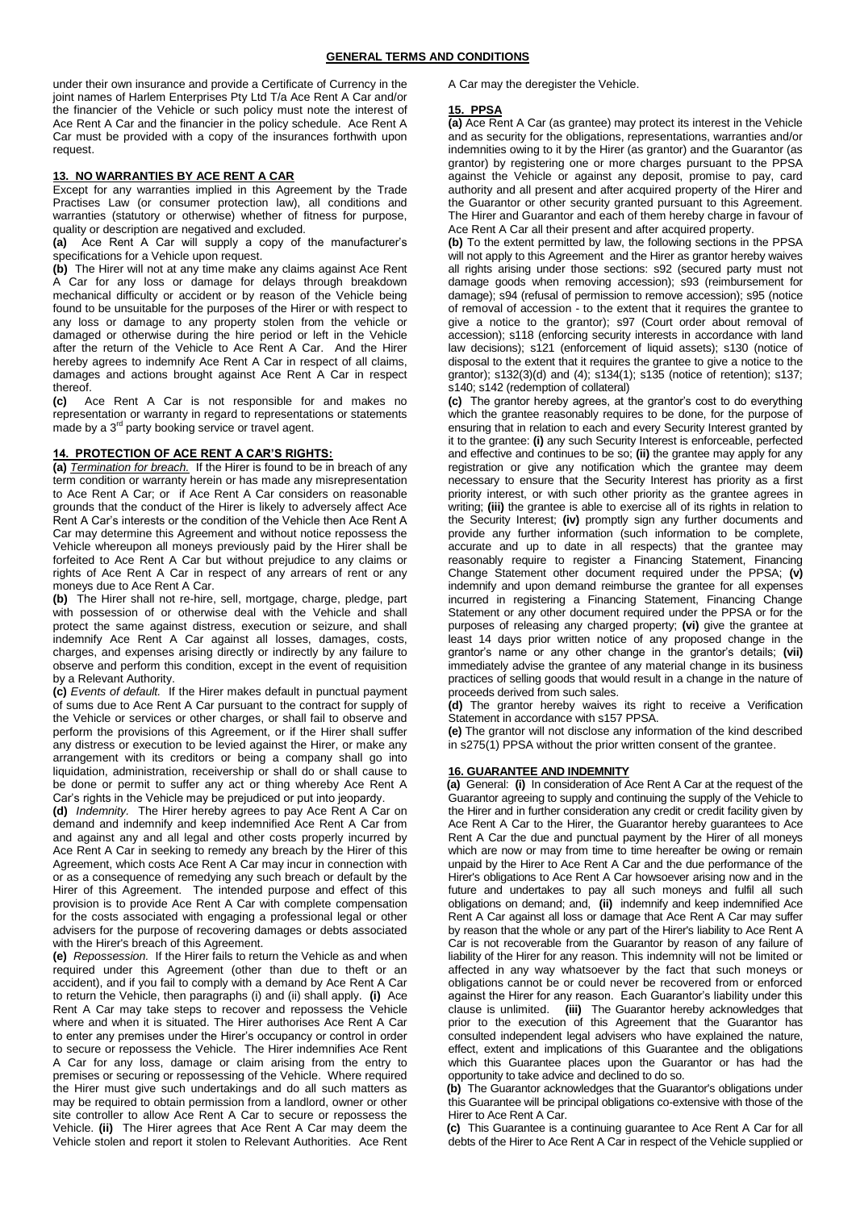under their own insurance and provide a Certificate of Currency in the joint names of Harlem Enterprises Pty Ltd T/a Ace Rent A Car and/or the financier of the Vehicle or such policy must note the interest of Ace Rent A Car and the financier in the policy schedule. Ace Rent A Car must be provided with a copy of the insurances forthwith upon request.

#### **13. NO WARRANTIES BY ACE RENT A CAR**

Except for any warranties implied in this Agreement by the Trade Practises Law (or consumer protection law), all conditions and warranties (statutory or otherwise) whether of fitness for purpose, quality or description are negatived and excluded.

**(a)** Ace Rent A Car will supply a copy of the manufacturer's specifications for a Vehicle upon request.

**(b)** The Hirer will not at any time make any claims against Ace Rent A Car for any loss or damage for delays through breakdown mechanical difficulty or accident or by reason of the Vehicle being found to be unsuitable for the purposes of the Hirer or with respect to any loss or damage to any property stolen from the vehicle or damaged or otherwise during the hire period or left in the Vehicle after the return of the Vehicle to Ace Rent A Car. And the Hirer hereby agrees to indemnify Ace Rent A Car in respect of all claims, damages and actions brought against Ace Rent A Car in respect thereof.

**(c)** Ace Rent A Car is not responsible for and makes no representation or warranty in regard to representations or statements made by a 3<sup>rd</sup> party booking service or travel agent.

# **14. PROTECTION OF ACE RENT A CAR'S RIGHTS:**

**(a)** *Termination for breach.*If the Hirer is found to be in breach of any term condition or warranty herein or has made any misrepresentation to Ace Rent A Car; or if Ace Rent A Car considers on reasonable grounds that the conduct of the Hirer is likely to adversely affect Ace Rent A Car's interests or the condition of the Vehicle then Ace Rent A Car may determine this Agreement and without notice repossess the Vehicle whereupon all moneys previously paid by the Hirer shall be forfeited to Ace Rent A Car but without prejudice to any claims or rights of Ace Rent A Car in respect of any arrears of rent or any moneys due to Ace Rent A Car.

**(b)** The Hirer shall not re-hire, sell, mortgage, charge, pledge, part with possession of or otherwise deal with the Vehicle and shall protect the same against distress, execution or seizure, and shall indemnify Ace Rent A Car against all losses, damages, costs, charges, and expenses arising directly or indirectly by any failure to observe and perform this condition, except in the event of requisition by a Relevant Authority.

**(c)** *Events of default.* If the Hirer makes default in punctual payment of sums due to Ace Rent A Car pursuant to the contract for supply of the Vehicle or services or other charges, or shall fail to observe and perform the provisions of this Agreement, or if the Hirer shall suffer any distress or execution to be levied against the Hirer, or make any arrangement with its creditors or being a company shall go into liquidation, administration, receivership or shall do or shall cause to be done or permit to suffer any act or thing whereby Ace Rent A Car's rights in the Vehicle may be prejudiced or put into jeopardy.

**(d)** *Indemnity.* The Hirer hereby agrees to pay Ace Rent A Car on demand and indemnify and keep indemnified Ace Rent A Car from and against any and all legal and other costs properly incurred by Ace Rent A Car in seeking to remedy any breach by the Hirer of this Agreement, which costs Ace Rent A Car may incur in connection with or as a consequence of remedying any such breach or default by the Hirer of this Agreement. The intended purpose and effect of this provision is to provide Ace Rent A Car with complete compensation for the costs associated with engaging a professional legal or other advisers for the purpose of recovering damages or debts associated with the Hirer's breach of this Agreement.

**(e)** *Repossession.* If the Hirer fails to return the Vehicle as and when required under this Agreement (other than due to theft or an accident), and if you fail to comply with a demand by Ace Rent A Car to return the Vehicle, then paragraphs (i) and (ii) shall apply. **(i)** Ace Rent A Car may take steps to recover and repossess the Vehicle where and when it is situated. The Hirer authorises Ace Rent A Car to enter any premises under the Hirer's occupancy or control in order to secure or repossess the Vehicle. The Hirer indemnifies Ace Rent A Car for any loss, damage or claim arising from the entry to premises or securing or repossessing of the Vehicle. Where required the Hirer must give such undertakings and do all such matters as may be required to obtain permission from a landlord, owner or other site controller to allow Ace Rent A Car to secure or repossess the Vehicle. **(ii)** The Hirer agrees that Ace Rent A Car may deem the Vehicle stolen and report it stolen to Relevant Authorities. Ace Rent A Car may the deregister the Vehicle.

### **15. PPSA**

**(a)** Ace Rent A Car (as grantee) may protect its interest in the Vehicle and as security for the obligations, representations, warranties and/or indemnities owing to it by the Hirer (as grantor) and the Guarantor (as grantor) by registering one or more charges pursuant to the PPSA against the Vehicle or against any deposit, promise to pay, card authority and all present and after acquired property of the Hirer and the Guarantor or other security granted pursuant to this Agreement. The Hirer and Guarantor and each of them hereby charge in favour of Ace Rent A Car all their present and after acquired property.

**(b)** To the extent permitted by law, the following sections in the PPSA will not apply to this Agreement and the Hirer as grantor hereby waives all rights arising under those sections: s92 (secured party must not damage goods when removing accession); s93 (reimbursement for damage); s94 (refusal of permission to remove accession); s95 (notice of removal of accession - to the extent that it requires the grantee to give a notice to the grantor); s97 (Court order about removal of accession); s118 (enforcing security interests in accordance with land law decisions); s121 (enforcement of liquid assets); s130 (notice of disposal to the extent that it requires the grantee to give a notice to the grantor); s132(3)(d) and (4); s134(1); s135 (notice of retention); s137; s140; s142 (redemption of collateral)

**(c)** The grantor hereby agrees, at the grantor's cost to do everything which the grantee reasonably requires to be done, for the purpose of ensuring that in relation to each and every Security Interest granted by it to the grantee: **(i)** any such Security Interest is enforceable, perfected and effective and continues to be so; **(ii)** the grantee may apply for any registration or give any notification which the grantee may deem necessary to ensure that the Security Interest has priority as a first priority interest, or with such other priority as the grantee agrees in writing; **(iii)** the grantee is able to exercise all of its rights in relation to the Security Interest; **(iv)** promptly sign any further documents and provide any further information (such information to be complete, accurate and up to date in all respects) that the grantee may reasonably require to register a Financing Statement, Financing Change Statement other document required under the PPSA; **(v)** indemnify and upon demand reimburse the grantee for all expenses incurred in registering a Financing Statement, Financing Change Statement or any other document required under the PPSA or for the purposes of releasing any charged property; **(vi)** give the grantee at least 14 days prior written notice of any proposed change in the grantor's name or any other change in the grantor's details; **(vii)** immediately advise the grantee of any material change in its business practices of selling goods that would result in a change in the nature of proceeds derived from such sales.

**(d)** The grantor hereby waives its right to receive a Verification Statement in accordance with s157 PPSA.

**(e)** The grantor will not disclose any information of the kind described in s275(1) PPSA without the prior written consent of the grantee.

# **16. GUARANTEE AND INDEMNITY**

**(a)** General: **(i)** In consideration of Ace Rent A Car at the request of the Guarantor agreeing to supply and continuing the supply of the Vehicle to the Hirer and in further consideration any credit or credit facility given by Ace Rent A Car to the Hirer, the Guarantor hereby guarantees to Ace Rent A Car the due and punctual payment by the Hirer of all moneys which are now or may from time to time hereafter be owing or remain unpaid by the Hirer to Ace Rent A Car and the due performance of the Hirer's obligations to Ace Rent A Car howsoever arising now and in the future and undertakes to pay all such moneys and fulfil all such obligations on demand; and, **(ii)** indemnify and keep indemnified Ace Rent A Car against all loss or damage that Ace Rent A Car may suffer by reason that the whole or any part of the Hirer's liability to Ace Rent A Car is not recoverable from the Guarantor by reason of any failure of liability of the Hirer for any reason. This indemnity will not be limited or affected in any way whatsoever by the fact that such moneys or obligations cannot be or could never be recovered from or enforced against the Hirer for any reason. Each Guarantor's liability under this clause is unlimited. **(iii)** The Guarantor hereby acknowledges that prior to the execution of this Agreement that the Guarantor has consulted independent legal advisers who have explained the nature, effect, extent and implications of this Guarantee and the obligations which this Guarantee places upon the Guarantor or has had the opportunity to take advice and declined to do so.

**(b)** The Guarantor acknowledges that the Guarantor's obligations under this Guarantee will be principal obligations co-extensive with those of the Hirer to Ace Rent A Car.

**(c)** This Guarantee is a continuing guarantee to Ace Rent A Car for all debts of the Hirer to Ace Rent A Car in respect of the Vehicle supplied or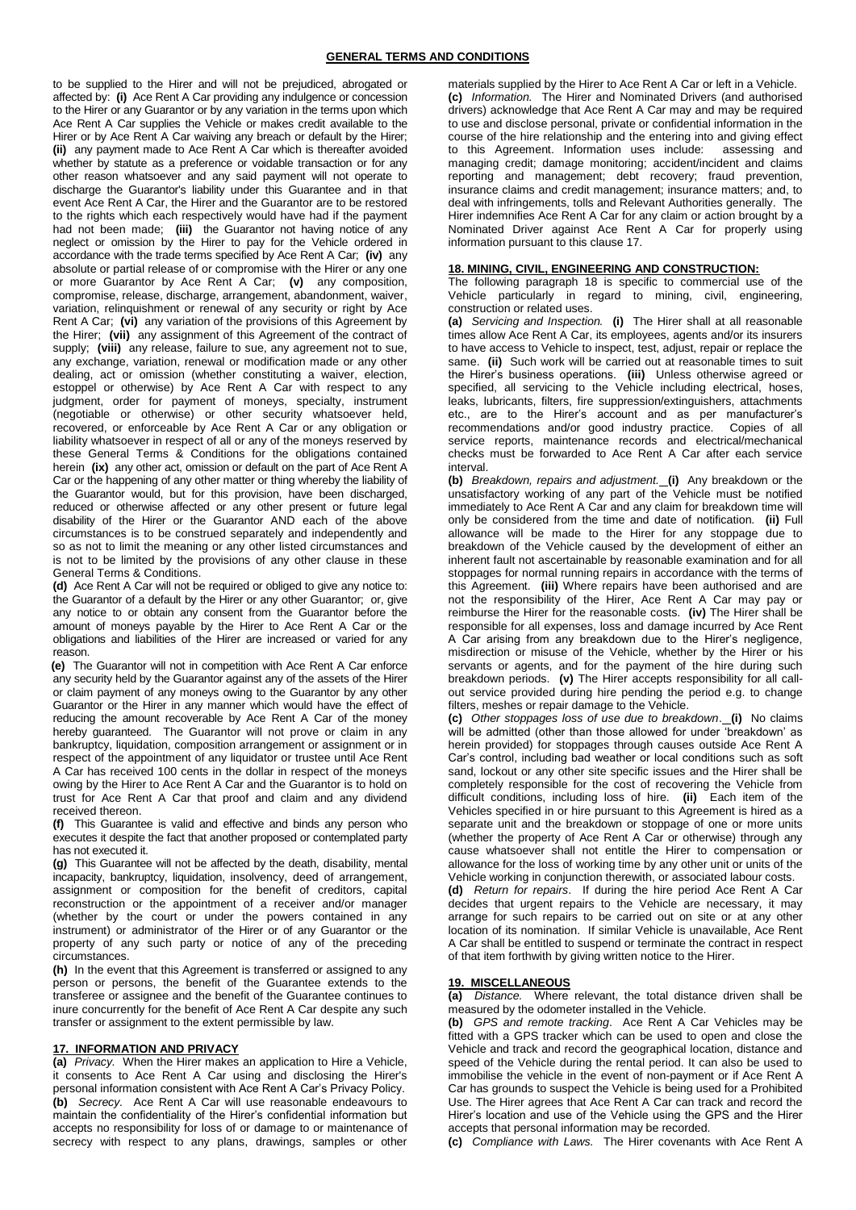# **GENERAL TERMS AND CONDITIONS**

to be supplied to the Hirer and will not be prejudiced, abrogated or affected by: **(i)** Ace Rent A Car providing any indulgence or concession to the Hirer or any Guarantor or by any variation in the terms upon which Ace Rent A Car supplies the Vehicle or makes credit available to the Hirer or by Ace Rent A Car waiving any breach or default by the Hirer; **(ii)** any payment made to Ace Rent A Car which is thereafter avoided whether by statute as a preference or voidable transaction or for any other reason whatsoever and any said payment will not operate to discharge the Guarantor's liability under this Guarantee and in that event Ace Rent A Car, the Hirer and the Guarantor are to be restored to the rights which each respectively would have had if the payment had not been made; **(iii)** the Guarantor not having notice of any neglect or omission by the Hirer to pay for the Vehicle ordered in accordance with the trade terms specified by Ace Rent A Car; **(iv)** any absolute or partial release of or compromise with the Hirer or any one or more Guarantor by Ace Rent A Car; **(v)** any composition, compromise, release, discharge, arrangement, abandonment, waiver, variation, relinquishment or renewal of any security or right by Ace Rent A Car; **(vi)** any variation of the provisions of this Agreement by the Hirer; **(vii)** any assignment of this Agreement of the contract of supply; **(viii)** any release, failure to sue, any agreement not to sue, any exchange, variation, renewal or modification made or any other dealing, act or omission (whether constituting a waiver, election, estoppel or otherwise) by Ace Rent A Car with respect to any judgment, order for payment of moneys, specialty, instrument (negotiable or otherwise) or other security whatsoever held, recovered, or enforceable by Ace Rent A Car or any obligation or liability whatsoever in respect of all or any of the moneys reserved by these General Terms & Conditions for the obligations contained herein **(ix)** any other act, omission or default on the part of Ace Rent A Car or the happening of any other matter or thing whereby the liability of the Guarantor would, but for this provision, have been discharged, reduced or otherwise affected or any other present or future legal disability of the Hirer or the Guarantor AND each of the above circumstances is to be construed separately and independently and so as not to limit the meaning or any other listed circumstances and is not to be limited by the provisions of any other clause in these General Terms & Conditions.

**(d)** Ace Rent A Car will not be required or obliged to give any notice to: the Guarantor of a default by the Hirer or any other Guarantor; or, give any notice to or obtain any consent from the Guarantor before the amount of moneys payable by the Hirer to Ace Rent A Car or the obligations and liabilities of the Hirer are increased or varied for any reason.

**(e)** The Guarantor will not in competition with Ace Rent A Car enforce any security held by the Guarantor against any of the assets of the Hirer or claim payment of any moneys owing to the Guarantor by any other Guarantor or the Hirer in any manner which would have the effect of reducing the amount recoverable by Ace Rent A Car of the money hereby guaranteed. The Guarantor will not prove or claim in any bankruptcy, liquidation, composition arrangement or assignment or in respect of the appointment of any liquidator or trustee until Ace Rent A Car has received 100 cents in the dollar in respect of the moneys owing by the Hirer to Ace Rent A Car and the Guarantor is to hold on trust for Ace Rent A Car that proof and claim and any dividend received thereon.

**(f)** This Guarantee is valid and effective and binds any person who executes it despite the fact that another proposed or contemplated party has not executed it.

**(g)** This Guarantee will not be affected by the death, disability, mental incapacity, bankruptcy, liquidation, insolvency, deed of arrangement, assignment or composition for the benefit of creditors, capital reconstruction or the appointment of a receiver and/or manager (whether by the court or under the powers contained in any instrument) or administrator of the Hirer or of any Guarantor or the property of any such party or notice of any of the preceding circumstances.

**(h)** In the event that this Agreement is transferred or assigned to any person or persons, the benefit of the Guarantee extends to the transferee or assignee and the benefit of the Guarantee continues to inure concurrently for the benefit of Ace Rent A Car despite any such transfer or assignment to the extent permissible by law.

### **17. INFORMATION AND PRIVACY**

**(a)** *Privacy.* When the Hirer makes an application to Hire a Vehicle, it consents to Ace Rent A Car using and disclosing the Hirer's personal information consistent with Ace Rent A Car's Privacy Policy. **(b)** *Secrecy.* Ace Rent A Car will use reasonable endeavours to maintain the confidentiality of the Hirer's confidential information but accepts no responsibility for loss of or damage to or maintenance of secrecy with respect to any plans, drawings, samples or other materials supplied by the Hirer to Ace Rent A Car or left in a Vehicle. **(c)** *Information.* The Hirer and Nominated Drivers (and authorised drivers) acknowledge that Ace Rent A Car may and may be required to use and disclose personal, private or confidential information in the course of the hire relationship and the entering into and giving effect to this Agreement. Information uses include: assessing and managing credit; damage monitoring; accident/incident and claims reporting and management; debt recovery; fraud prevention, insurance claims and credit management; insurance matters; and, to deal with infringements, tolls and Relevant Authorities generally. The Hirer indemnifies Ace Rent A Car for any claim or action brought by a Nominated Driver against Ace Rent A Car for properly using information pursuant to this clause 17.

#### **18. MINING, CIVIL, ENGINEERING AND CONSTRUCTION:**

The following paragraph 18 is specific to commercial use of the Vehicle particularly in regard to mining, civil, engineering, construction or related uses.

**(a)** *Servicing and Inspection.* **(i)** The Hirer shall at all reasonable times allow Ace Rent A Car, its employees, agents and/or its insurers to have access to Vehicle to inspect, test, adjust, repair or replace the same. **(ii)** Such work will be carried out at reasonable times to suit the Hirer's business operations. **(iii)** Unless otherwise agreed or specified, all servicing to the Vehicle including electrical, hoses, leaks, lubricants, filters, fire suppression/extinguishers, attachments etc., are to the Hirer's account and as per manufacturer's recommendations and/or good industry practice. Copies of all service reports, maintenance records and electrical/mechanical checks must be forwarded to Ace Rent A Car after each service interval.

**(b)** *Breakdown, repairs and adjustment.* **(i)** Any breakdown or the unsatisfactory working of any part of the Vehicle must be notified immediately to Ace Rent A Car and any claim for breakdown time will only be considered from the time and date of notification. **(ii)** Full allowance will be made to the Hirer for any stoppage due to breakdown of the Vehicle caused by the development of either an inherent fault not ascertainable by reasonable examination and for all stoppages for normal running repairs in accordance with the terms of this Agreement. **(iii)** Where repairs have been authorised and are not the responsibility of the Hirer, Ace Rent A Car may pay or reimburse the Hirer for the reasonable costs. **(iv)** The Hirer shall be responsible for all expenses, loss and damage incurred by Ace Rent A Car arising from any breakdown due to the Hirer's negligence, misdirection or misuse of the Vehicle, whether by the Hirer or his servants or agents, and for the payment of the hire during such breakdown periods. **(v)** The Hirer accepts responsibility for all callout service provided during hire pending the period e.g. to change filters, meshes or repair damage to the Vehicle.

**(c)** *Other stoppages loss of use due to breakdown*. **(i)** No claims will be admitted (other than those allowed for under 'breakdown' as herein provided) for stoppages through causes outside Ace Rent A Car's control, including bad weather or local conditions such as soft sand, lockout or any other site specific issues and the Hirer shall be completely responsible for the cost of recovering the Vehicle from difficult conditions, including loss of hire. **(ii)** Each item of the Vehicles specified in or hire pursuant to this Agreement is hired as a separate unit and the breakdown or stoppage of one or more units (whether the property of Ace Rent A Car or otherwise) through any cause whatsoever shall not entitle the Hirer to compensation or allowance for the loss of working time by any other unit or units of the Vehicle working in conjunction therewith, or associated labour costs.

**(d)** *Return for repairs*. If during the hire period Ace Rent A Car decides that urgent repairs to the Vehicle are necessary, it may arrange for such repairs to be carried out on site or at any other location of its nomination. If similar Vehicle is unavailable, Ace Rent A Car shall be entitled to suspend or terminate the contract in respect of that item forthwith by giving written notice to the Hirer.

#### **19. MISCELLANEOUS**

**(a)** *Distance.* Where relevant, the total distance driven shall be measured by the odometer installed in the Vehicle.

**(b)** *GPS and remote tracking*. Ace Rent A Car Vehicles may be fitted with a GPS tracker which can be used to open and close the Vehicle and track and record the geographical location, distance and speed of the Vehicle during the rental period. It can also be used to immobilise the vehicle in the event of non-payment or if Ace Rent A Car has grounds to suspect the Vehicle is being used for a Prohibited Use. The Hirer agrees that Ace Rent A Car can track and record the Hirer's location and use of the Vehicle using the GPS and the Hirer accepts that personal information may be recorded.

**(c)** *Compliance with Laws.* The Hirer covenants with Ace Rent A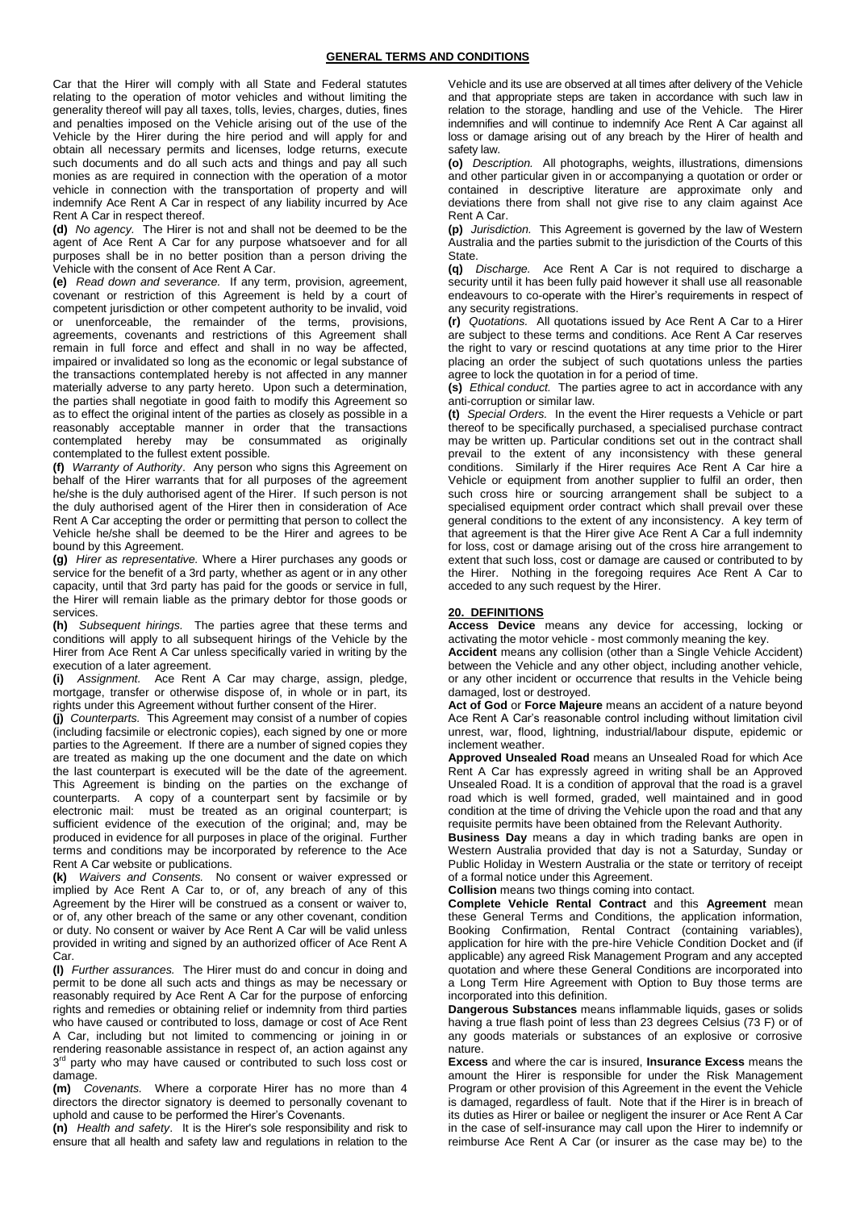Car that the Hirer will comply with all State and Federal statutes relating to the operation of motor vehicles and without limiting the generality thereof will pay all taxes, tolls, levies, charges, duties, fines and penalties imposed on the Vehicle arising out of the use of the Vehicle by the Hirer during the hire period and will apply for and obtain all necessary permits and licenses, lodge returns, execute such documents and do all such acts and things and pay all such monies as are required in connection with the operation of a motor vehicle in connection with the transportation of property and will indemnify Ace Rent A Car in respect of any liability incurred by Ace Rent A Car in respect thereof.

**(d)** *No agency.* The Hirer is not and shall not be deemed to be the agent of Ace Rent A Car for any purpose whatsoever and for all purposes shall be in no better position than a person driving the Vehicle with the consent of Ace Rent A Car.

**(e)** *Read down and severance.* If any term, provision, agreement, covenant or restriction of this Agreement is held by a court of competent jurisdiction or other competent authority to be invalid, void or unenforceable, the remainder of the terms, provisions, agreements, covenants and restrictions of this Agreement shall remain in full force and effect and shall in no way be affected, impaired or invalidated so long as the economic or legal substance of the transactions contemplated hereby is not affected in any manner materially adverse to any party hereto. Upon such a determination. the parties shall negotiate in good faith to modify this Agreement so as to effect the original intent of the parties as closely as possible in a reasonably acceptable manner in order that the transactions contemplated hereby may be consummated as originally contemplated to the fullest extent possible.

**(f)** *Warranty of Authority*. Any person who signs this Agreement on behalf of the Hirer warrants that for all purposes of the agreement he/she is the duly authorised agent of the Hirer. If such person is not the duly authorised agent of the Hirer then in consideration of Ace Rent A Car accepting the order or permitting that person to collect the Vehicle he/she shall be deemed to be the Hirer and agrees to be bound by this Agreement.

**(g)** *Hirer as representative.* Where a Hirer purchases any goods or service for the benefit of a 3rd party, whether as agent or in any other capacity, until that 3rd party has paid for the goods or service in full, the Hirer will remain liable as the primary debtor for those goods or services.

**(h)** *Subsequent hirings.* The parties agree that these terms and conditions will apply to all subsequent hirings of the Vehicle by the Hirer from Ace Rent A Car unless specifically varied in writing by the execution of a later agreement.

**(i)** *Assignment.* Ace Rent A Car may charge, assign, pledge, mortgage, transfer or otherwise dispose of, in whole or in part, its rights under this Agreement without further consent of the Hirer.

**(j)** *Counterparts.* This Agreement may consist of a number of copies (including facsimile or electronic copies), each signed by one or more parties to the Agreement. If there are a number of signed copies they are treated as making up the one document and the date on which the last counterpart is executed will be the date of the agreement. This Agreement is binding on the parties on the exchange of counterparts. A copy of a counterpart sent by facsimile or by electronic mail: must be treated as an original counterpart; is sufficient evidence of the execution of the original; and, may be produced in evidence for all purposes in place of the original. Further terms and conditions may be incorporated by reference to the Ace Rent A Car website or publications.

**(k)** *Waivers and Consents.* No consent or waiver expressed or implied by Ace Rent A Car to, or of, any breach of any of this Agreement by the Hirer will be construed as a consent or waiver to, or of, any other breach of the same or any other covenant, condition or duty. No consent or waiver by Ace Rent A Car will be valid unless provided in writing and signed by an authorized officer of Ace Rent A Car.

**(l)** *Further assurances.* The Hirer must do and concur in doing and permit to be done all such acts and things as may be necessary or reasonably required by Ace Rent A Car for the purpose of enforcing rights and remedies or obtaining relief or indemnity from third parties who have caused or contributed to loss, damage or cost of Ace Rent A Car, including but not limited to commencing or joining in or rendering reasonable assistance in respect of, an action against any 3<sup>rd</sup> party who may have caused or contributed to such loss cost or damage.

**(m)** *Covenants.* Where a corporate Hirer has no more than 4 directors the director signatory is deemed to personally covenant to uphold and cause to be performed the Hirer's Covenants.

**(n)** *Health and safety*. It is the Hirer's sole responsibility and risk to ensure that all health and safety law and regulations in relation to the Vehicle and its use are observed at all times after delivery of the Vehicle and that appropriate steps are taken in accordance with such law in relation to the storage, handling and use of the Vehicle. The Hirer indemnifies and will continue to indemnify Ace Rent A Car against all loss or damage arising out of any breach by the Hirer of health and safety law.

**(o)** *Description.* All photographs, weights, illustrations, dimensions and other particular given in or accompanying a quotation or order or contained in descriptive literature are approximate only and deviations there from shall not give rise to any claim against Ace Rent A Car.

**(p)** *Jurisdiction.* This Agreement is governed by the law of Western Australia and the parties submit to the jurisdiction of the Courts of this State.

**(q)** *Discharge.* Ace Rent A Car is not required to discharge a security until it has been fully paid however it shall use all reasonable endeavours to co-operate with the Hirer's requirements in respect of any security registrations.

**(r)** *Quotations.* All quotations issued by Ace Rent A Car to a Hirer are subject to these terms and conditions. Ace Rent A Car reserves the right to vary or rescind quotations at any time prior to the Hirer placing an order the subject of such quotations unless the parties agree to lock the quotation in for a period of time.

**(s)** *Ethical conduct.* The parties agree to act in accordance with any anti-corruption or similar law.

**(t)** *Special Orders.* In the event the Hirer requests a Vehicle or part thereof to be specifically purchased, a specialised purchase contract may be written up. Particular conditions set out in the contract shall prevail to the extent of any inconsistency with these general conditions. Similarly if the Hirer requires Ace Rent A Car hire a Vehicle or equipment from another supplier to fulfil an order, then such cross hire or sourcing arrangement shall be subject to a specialised equipment order contract which shall prevail over these general conditions to the extent of any inconsistency. A key term of that agreement is that the Hirer give Ace Rent A Car a full indemnity for loss, cost or damage arising out of the cross hire arrangement to extent that such loss, cost or damage are caused or contributed to by the Hirer. Nothing in the foregoing requires Ace Rent A Car to acceded to any such request by the Hirer.

## **20. DEFINITIONS**

**Access Device** means any device for accessing, locking or activating the motor vehicle - most commonly meaning the key.

**Accident** means any collision (other than a Single Vehicle Accident) between the Vehicle and any other object, including another vehicle, or any other incident or occurrence that results in the Vehicle being damaged, lost or destroyed.

**Act of God** or **Force Majeure** means an accident of a nature beyond Ace Rent A Car's reasonable control including without limitation civil unrest, war, flood, lightning, industrial/labour dispute, epidemic or inclement weather.

**Approved Unsealed Road** means an Unsealed Road for which Ace Rent A Car has expressly agreed in writing shall be an Approved Unsealed Road. It is a condition of approval that the road is a gravel road which is well formed, graded, well maintained and in good condition at the time of driving the Vehicle upon the road and that any requisite permits have been obtained from the Relevant Authority.

**Business Day** means a day in which trading banks are open in Western Australia provided that day is not a Saturday, Sunday or Public Holiday in Western Australia or the state or territory of receipt of a formal notice under this Agreement.

**Collision** means two things coming into contact.

**Complete Vehicle Rental Contract** and this **Agreement** mean these General Terms and Conditions, the application information, Booking Confirmation, Rental Contract (containing variables), application for hire with the pre-hire Vehicle Condition Docket and (if applicable) any agreed Risk Management Program and any accepted quotation and where these General Conditions are incorporated into a Long Term Hire Agreement with Option to Buy those terms are incorporated into this definition.

**Dangerous Substances** means inflammable liquids, gases or solids having a true flash point of less than 23 degrees Celsius (73 F) or of any goods materials or substances of an explosive or corrosive nature.

**Excess** and where the car is insured, **Insurance Excess** means the amount the Hirer is responsible for under the Risk Management Program or other provision of this Agreement in the event the Vehicle is damaged, regardless of fault. Note that if the Hirer is in breach of its duties as Hirer or bailee or negligent the insurer or Ace Rent A Car in the case of self-insurance may call upon the Hirer to indemnify or reimburse Ace Rent A Car (or insurer as the case may be) to the